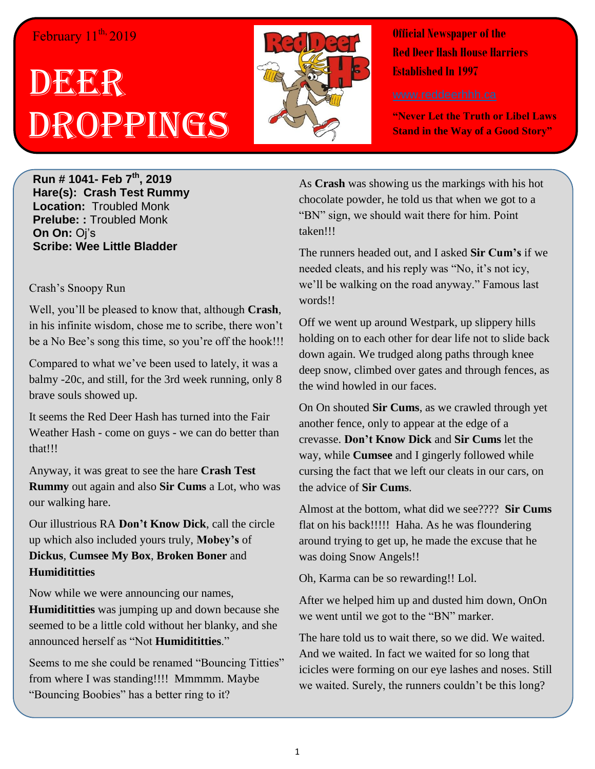## February 11<sup>th,</sup> 2019

# DEER Droppings



**Official Newspaper of the Red Deer Hash House Harriers Established In 1997** 

**"Never Let the Truth or Libel Laws Stand in the Way of a Good Story"**

**Run # 1041- Feb 7th, 2019 Hare(s): Crash Test Rummy Location:** Troubled Monk **Prelube: :** Troubled Monk **On On:** Oj's **Scribe: Wee Little Bladder**

#### Crash's Snoopy Run

Well, you'll be pleased to know that, although **Crash**, in his infinite wisdom, chose me to scribe, there won't be a No Bee's song this time, so you're off the hook!!!

Compared to what we've been used to lately, it was a balmy -20c, and still, for the 3rd week running, only 8 brave souls showed up.

It seems the Red Deer Hash has turned into the Fair Weather Hash - come on guys - we can do better than that!!!

Anyway, it was great to see the hare **Crash Test Rummy** out again and also **Sir Cums** a Lot, who was our walking hare.

Our illustrious RA **Don't Know Dick**, call the circle up which also included yours truly, **Mobey's** of **Dickus**, **Cumsee My Box**, **Broken Boner** and **Humidititties**

Now while we were announcing our names,

**Humidititties** was jumping up and down because she seemed to be a little cold without her blanky, and she announced herself as "Not **Humidititties**."

Seems to me she could be renamed "Bouncing Titties" from where I was standing!!!! Mmmmm. Maybe "Bouncing Boobies" has a better ring to it?

As **Crash** was showing us the markings with his hot chocolate powder, he told us that when we got to a "BN" sign, we should wait there for him. Point taken!!!

The runners headed out, and I asked **Sir Cum's** if we needed cleats, and his reply was "No, it's not icy, we'll be walking on the road anyway." Famous last words!!

Off we went up around Westpark, up slippery hills holding on to each other for dear life not to slide back down again. We trudged along paths through knee deep snow, climbed over gates and through fences, as the wind howled in our faces.

On On shouted **Sir Cums**, as we crawled through yet another fence, only to appear at the edge of a crevasse. **Don't Know Dick** and **Sir Cums** let the way, while **Cumsee** and I gingerly followed while cursing the fact that we left our cleats in our cars, on the advice of **Sir Cums**.

Almost at the bottom, what did we see???? **Sir Cums** flat on his back!!!!! Haha. As he was floundering around trying to get up, he made the excuse that he was doing Snow Angels!!

Oh, Karma can be so rewarding!! Lol.

After we helped him up and dusted him down, OnOn we went until we got to the "BN" marker.

The hare told us to wait there, so we did. We waited. And we waited. In fact we waited for so long that icicles were forming on our eye lashes and noses. Still we waited. Surely, the runners couldn't be this long?